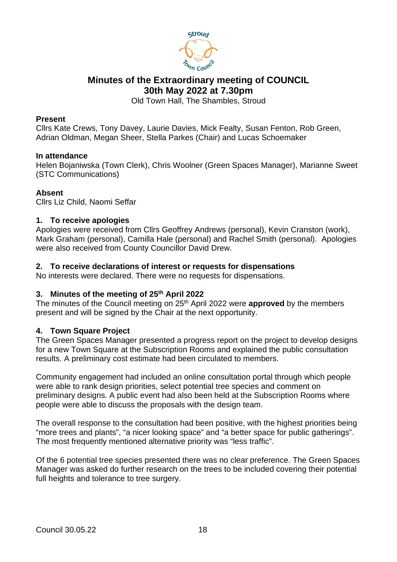

# **Minutes of the Extraordinary meeting of COUNCIL 30th May 2022 at 7.30pm**

Old Town Hall, The Shambles, Stroud

### **Present**

Cllrs Kate Crews, Tony Davey, Laurie Davies, Mick Fealty, Susan Fenton, Rob Green, Adrian Oldman, Megan Sheer, Stella Parkes (Chair) and Lucas Schoemaker

## **In attendance**

Helen Bojaniwska (Town Clerk), Chris Woolner (Green Spaces Manager), Marianne Sweet (STC Communications)

## **Absent**

Cllrs Liz Child, Naomi Seffar

## **1. To receive apologies**

Apologies were received from Cllrs Geoffrey Andrews (personal), Kevin Cranston (work), Mark Graham (personal), Camilla Hale (personal) and Rachel Smith (personal). Apologies were also received from County Councillor David Drew.

## **2. To receive declarations of interest or requests for dispensations**

No interests were declared. There were no requests for dispensations.

#### **3. Minutes of the meeting of 25th April 2022**

The minutes of the Council meeting on 25th April 2022 were **approved** by the members present and will be signed by the Chair at the next opportunity.

#### **4. Town Square Project**

The Green Spaces Manager presented a progress report on the project to develop designs for a new Town Square at the Subscription Rooms and explained the public consultation results. A preliminary cost estimate had been circulated to members.

Community engagement had included an online consultation portal through which people were able to rank design priorities, select potential tree species and comment on preliminary designs. A public event had also been held at the Subscription Rooms where people were able to discuss the proposals with the design team.

The overall response to the consultation had been positive, with the highest priorities being "more trees and plants", "a nicer looking space" and "a better space for public gatherings". The most frequently mentioned alternative priority was "less traffic".

Of the 6 potential tree species presented there was no clear preference. The Green Spaces Manager was asked do further research on the trees to be included covering their potential full heights and tolerance to tree surgery.